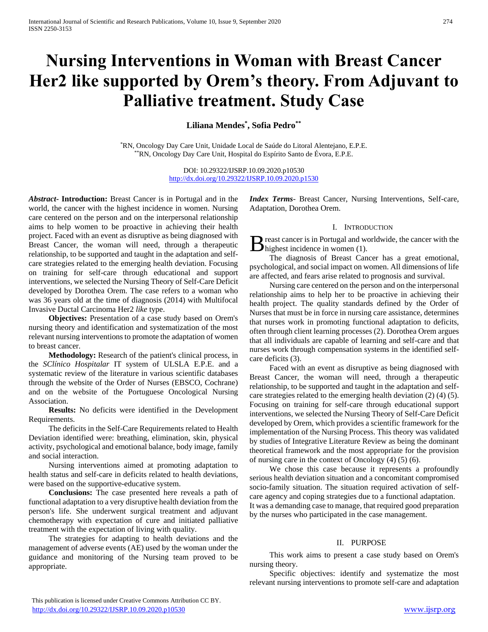# **Nursing Interventions in Woman with Breast Cancer Her2 like supported by Orem's theory. From Adjuvant to Palliative treatment. Study Case**

**Liliana Mendes\* , Sofia Pedro\*\***

\*RN, Oncology Day Care Unit, Unidade Local de Saúde do Litoral Alentejano, E.P.E. \*\*RN, Oncology Day Care Unit, Hospital do Espírito Santo de Évora, E.P.E.

> DOI: 10.29322/IJSRP.10.09.2020.p10530 <http://dx.doi.org/10.29322/IJSRP.10.09.2020.p1530>

*Abstract***- Introduction:** Breast Cancer is in Portugal and in the world, the cancer with the highest incidence in women. Nursing care centered on the person and on the interpersonal relationship aims to help women to be proactive in achieving their health project. Faced with an event as disruptive as being diagnosed with Breast Cancer, the woman will need, through a therapeutic relationship, to be supported and taught in the adaptation and selfcare strategies related to the emerging health deviation. Focusing on training for self-care through educational and support interventions, we selected the Nursing Theory of Self-Care Deficit developed by Dorothea Orem. The case refers to a woman who was 36 years old at the time of diagnosis (2014) with Multifocal Invasive Ductal Carcinoma Her2 *like* type.

 **Objectives:** Presentation of a case study based on Orem's nursing theory and identification and systematization of the most relevant nursing interventions to promote the adaptation of women to breast cancer.

 **Methodology:** Research of the patient's clinical process, in the *SClínico Hospitalar* IT system of ULSLA E.P.E. and a systematic review of the literature in various scientific databases through the website of the Order of Nurses (EBSCO, Cochrane) and on the website of the Portuguese Oncological Nursing Association.

 **Results:** No deficits were identified in the Development Requirements.

The deficits in the Self-Care Requirements related to Health Deviation identified were: breathing, elimination, skin, physical activity, psychological and emotional balance, body image, family and social interaction.

Nursing interventions aimed at promoting adaptation to health status and self-care in deficits related to health deviations, were based on the supportive-educative system.

 **Conclusions:** The case presented here reveals a path of functional adaptation to a very disruptive health deviation from the person's life. She underwent surgical treatment and adjuvant chemotherapy with expectation of cure and initiated palliative treatment with the expectation of living with quality.

The strategies for adapting to health deviations and the management of adverse events (AE) used by the woman under the guidance and monitoring of the Nursing team proved to be appropriate.

*Index Terms*- Breast Cancer, Nursing Interventions, Self-care, Adaptation, Dorothea Orem.

#### I. INTRODUCTION

reast cancer is in Portugal and worldwide, the cancer with the **h** highest incidence in women (1).

 The diagnosis of Breast Cancer has a great emotional, psychological, and social impact on women. All dimensions of life are affected, and fears arise related to prognosis and survival.

 Nursing care centered on the person and on the interpersonal relationship aims to help her to be proactive in achieving their health project. The quality standards defined by the Order of Nurses that must be in force in nursing care assistance, determines that nurses work in promoting functional adaptation to deficits, often through client learning processes (2). Dorothea Orem argues that all individuals are capable of learning and self-care and that nurses work through compensation systems in the identified selfcare deficits (3).

 Faced with an event as disruptive as being diagnosed with Breast Cancer, the woman will need, through a therapeutic relationship, to be supported and taught in the adaptation and selfcare strategies related to the emerging health deviation (2) (4) (5). Focusing on training for self-care through educational support interventions, we selected the Nursing Theory of Self-Care Deficit developed by Orem, which provides a scientific framework for the implementation of the Nursing Process. This theory was validated by studies of Integrative Literature Review as being the dominant theoretical framework and the most appropriate for the provision of nursing care in the context of Oncology (4) (5) (6).

 We chose this case because it represents a profoundly serious health deviation situation and a concomitant compromised socio-family situation. The situation required activation of selfcare agency and coping strategies due to a functional adaptation. It was a demanding case to manage, that required good preparation by the nurses who participated in the case management.

# II. PURPOSE

 This work aims to present a case study based on Orem's nursing theory.

 Specific objectives: identify and systematize the most relevant nursing interventions to promote self-care and adaptation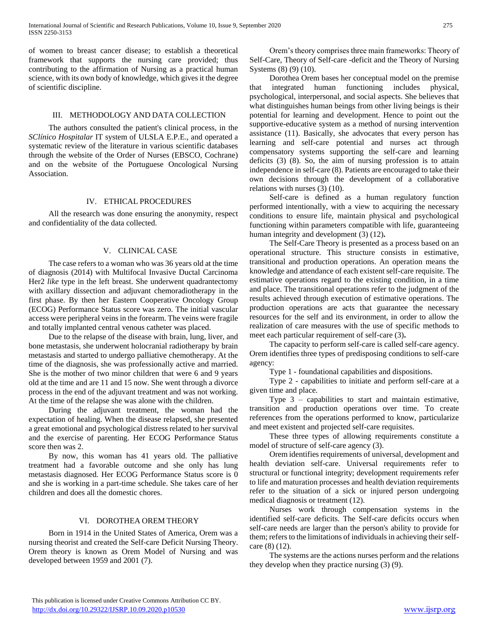of women to breast cancer disease; to establish a theoretical framework that supports the nursing care provided; thus contributing to the affirmation of Nursing as a practical human science, with its own body of knowledge, which gives it the degree of scientific discipline.

## III. METHODOLOGY AND DATA COLLECTION

 The authors consulted the patient's clinical process, in the *SClínico Hospitalar* IT system of ULSLA E.P.E., and operated a systematic review of the literature in various scientific databases through the website of the Order of Nurses (EBSCO, Cochrane) and on the website of the Portuguese Oncological Nursing Association.

### IV. ETHICAL PROCEDURES

 All the research was done ensuring the anonymity, respect and confidentiality of the data collected.

## V. CLINICAL CASE

 The case refers to a woman who was 36 years old at the time of diagnosis (2014) with Multifocal Invasive Ductal Carcinoma Her2 *like* type in the left breast. She underwent quadrantectomy with axillary dissection and adjuvant chemoradiotherapy in the first phase. By then her Eastern Cooperative Oncology Group (ECOG) Performance Status score was zero. The initial vascular access were peripheral veins in the forearm. The veins were fragile and totally implanted central venous catheter was placed.

 Due to the relapse of the disease with brain, lung, liver, and bone metastasis, she underwent holocranial radiotherapy by brain metastasis and started to undergo palliative chemotherapy. At the time of the diagnosis, she was professionally active and married. She is the mother of two minor children that were 6 and 9 years old at the time and are 11 and 15 now. She went through a divorce process in the end of the adjuvant treatment and was not working. At the time of the relapse she was alone with the children.

 During the adjuvant treatment, the woman had the expectation of healing. When the disease relapsed, she presented a great emotional and psychological distress related to her survival and the exercise of parenting. Her ECOG Performance Status score then was 2.

 By now, this woman has 41 years old. The palliative treatment had a favorable outcome and she only has lung metastasis diagnosed. Her ECOG Performance Status score is 0 and she is working in a part-time schedule. She takes care of her children and does all the domestic chores.

## VI. DOROTHEA OREM THEORY

 Born in 1914 in the United States of America, Orem was a nursing theorist and created the Self-care Deficit Nursing Theory. Orem theory is known as Orem Model of Nursing and was developed between 1959 and 2001 (7).

 Orem's theory comprises three main frameworks: Theory of Self-Care, Theory of Self-care -deficit and the Theory of Nursing Systems (8) (9) (10).

 Dorothea Orem bases her conceptual model on the premise that integrated human functioning includes physical, psychological, interpersonal, and social aspects. She believes that what distinguishes human beings from other living beings is their potential for learning and development. Hence to point out the supportive-educative system as a method of nursing intervention assistance (11). Basically, she advocates that every person has learning and self-care potential and nurses act through compensatory systems supporting the self-care and learning deficits (3) (8). So, the aim of nursing profession is to attain independence in self-care (8). Patients are encouraged to take their own decisions through the development of a collaborative relations with nurses (3) (10).

 Self-care is defined as a human regulatory function performed intentionally, with a view to acquiring the necessary conditions to ensure life, maintain physical and psychological functioning within parameters compatible with life, guaranteeing human integrity and development (3) (12)**.**

 The Self-Care Theory is presented as a process based on an operational structure. This structure consists in estimative, transitional and production operations. An operation means the knowledge and attendance of each existent self-care requisite. The estimative operations regard to the existing condition, in a time and place. The transitional operations refer to the judgment of the results achieved through execution of estimative operations. The production operations are acts that guarantee the necessary resources for the self and its environment, in order to allow the realization of care measures with the use of specific methods to meet each particular requirement of self-care (3)**.**

 The capacity to perform self-care is called self-care agency. Orem identifies three types of predisposing conditions to self-care agency:

Type 1 - foundational capabilities and dispositions.

 Type 2 - capabilities to initiate and perform self-care at a given time and place.

 Type 3 – capabilities to start and maintain estimative, transition and production operations over time. To create references from the operations performed to know, particularize and meet existent and projected self-care requisites.

 These three types of allowing requirements constitute a model of structure of self-care agency (3).

 Orem identifies requirements of universal, development and health deviation self-care. Universal requirements refer to structural or functional integrity; development requirements refer to life and maturation processes and health deviation requirements refer to the situation of a sick or injured person undergoing medical diagnosis or treatment (12).

 Nurses work through compensation systems in the identified self-care deficits. The Self-care deficits occurs when self-care needs are larger than the person's ability to provide for them; refers to the limitations of individuals in achieving their selfcare (8) (12).

 The systems are the actions nurses perform and the relations they develop when they practice nursing (3) (9).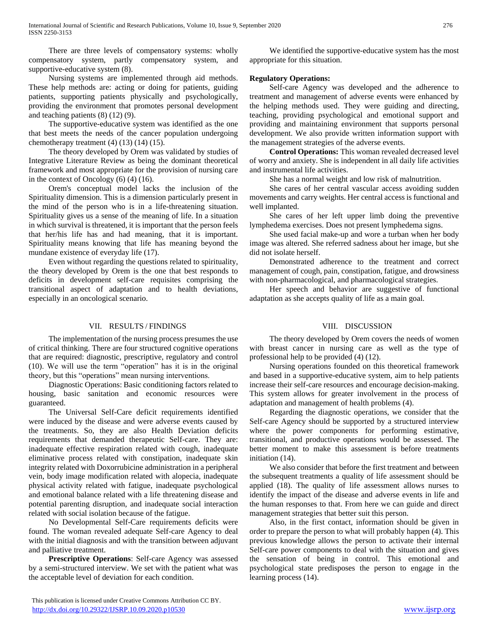There are three levels of compensatory systems: wholly compensatory system, partly compensatory system, and supportive-educative system (8).

 Nursing systems are implemented through aid methods. These help methods are: acting or doing for patients, guiding patients, supporting patients physically and psychologically, providing the environment that promotes personal development and teaching patients (8) (12) (9).

 The supportive-educative system was identified as the one that best meets the needs of the cancer population undergoing chemotherapy treatment  $(4)$   $(13)$   $(14)$   $(15)$ .

 The theory developed by Orem was validated by studies of Integrative Literature Review as being the dominant theoretical framework and most appropriate for the provision of nursing care in the context of Oncology (6) (4) (16).

 Orem's conceptual model lacks the inclusion of the Spirituality dimension. This is a dimension particularly present in the mind of the person who is in a life-threatening situation. Spirituality gives us a sense of the meaning of life. In a situation in which survival is threatened, it is important that the person feels that her/his life has and had meaning, that it is important. Spirituality means knowing that life has meaning beyond the mundane existence of everyday life (17).

 Even without regarding the questions related to spirituality, the theory developed by Orem is the one that best responds to deficits in development self-care requisites comprising the transitional aspect of adaptation and to health deviations, especially in an oncological scenario.

# VII. RESULTS / FINDINGS

 The implementation of the nursing process presumes the use of critical thinking. There are four structured cognitive operations that are required: diagnostic, prescriptive, regulatory and control (10). We will use the term "operation" has it is in the original theory, but this "operations" mean nursing interventions.

 Diagnostic Operations: Basic conditioning factors related to housing, basic sanitation and economic resources were guaranteed.

 The Universal Self-Care deficit requirements identified were induced by the disease and were adverse events caused by the treatments. So, they are also Health Deviation deficits requirements that demanded therapeutic Self-care. They are: inadequate effective respiration related with cough, inadequate eliminative process related with constipation, inadequate skin integrity related with Doxorrubicine administration in a peripheral vein, body image modification related with alopecia, inadequate physical activity related with fatigue, inadequate psychological and emotional balance related with a life threatening disease and potential parenting disruption, and inadequate social interaction related with social isolation because of the fatigue.

 No Developmental Self-Care requirements deficits were found. The woman revealed adequate Self-care Agency to deal with the initial diagnosis and with the transition between adjuvant and palliative treatment.

 **Prescriptive Operations**: Self-care Agency was assessed by a semi-structured interview. We set with the patient what was the acceptable level of deviation for each condition.

 We identified the supportive-educative system has the most appropriate for this situation.

# **Regulatory Operations:**

 Self-care Agency was developed and the adherence to treatment and management of adverse events were enhanced by the helping methods used. They were guiding and directing, teaching, providing psychological and emotional support and providing and maintaining environment that supports personal development. We also provide written information support with the management strategies of the adverse events.

 **Control Operations:** This woman revealed decreased level of worry and anxiety. She is independent in all daily life activities and instrumental life activities.

She has a normal weight and low risk of malnutrition.

 She cares of her central vascular access avoiding sudden movements and carry weights. Her central access is functional and well implanted.

 She cares of her left upper limb doing the preventive lymphedema exercises. Does not present lymphedema signs.

 She used facial make-up and wore a turban when her body image was altered. She referred sadness about her image, but she did not isolate herself.

 Demonstrated adherence to the treatment and correct management of cough, pain, constipation, fatigue, and drowsiness with non-pharmacological, and pharmacological strategies.

 Her speech and behavior are suggestive of functional adaptation as she accepts quality of life as a main goal.

# VIII. DISCUSSION

 The theory developed by Orem covers the needs of women with breast cancer in nursing care as well as the type of professional help to be provided (4) (12).

 Nursing operations founded on this theoretical framework and based in a supportive-educative system, aim to help patients increase their self-care resources and encourage decision-making. This system allows for greater involvement in the process of adaptation and management of health problems (4).

 Regarding the diagnostic operations, we consider that the Self-care Agency should be supported by a structured interview where the power components for performing estimative, transitional, and productive operations would be assessed. The better moment to make this assessment is before treatments initiation  $(14)$ .

 We also consider that before the first treatment and between the subsequent treatments a quality of life assessment should be applied (18). The quality of life assessment allows nurses to identify the impact of the disease and adverse events in life and the human responses to that. From here we can guide and direct management strategies that better suit this person.

 Also, in the first contact, information should be given in order to prepare the person to what will probably happen (4). This previous knowledge allows the person to activate their internal Self-care power components to deal with the situation and gives the sensation of being in control. This emotional and psychological state predisposes the person to engage in the learning process (14).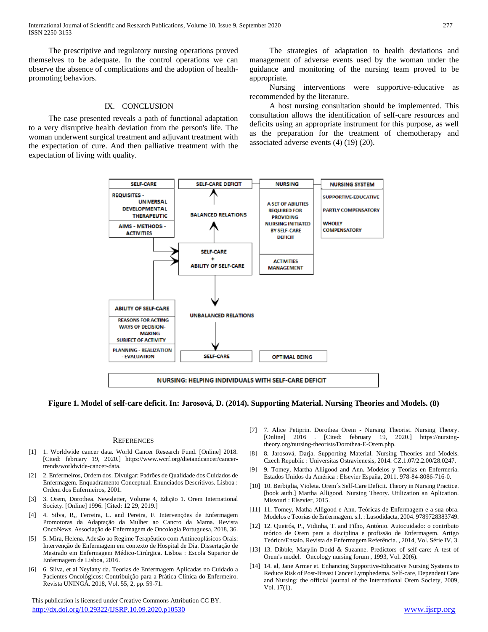The prescriptive and regulatory nursing operations proved themselves to be adequate. In the control operations we can observe the absence of complications and the adoption of healthpromoting behaviors.

# IX. CONCLUSION

 The case presented reveals a path of functional adaptation to a very disruptive health deviation from the person's life. The woman underwent surgical treatment and adjuvant treatment with the expectation of cure. And then palliative treatment with the expectation of living with quality.

 The strategies of adaptation to health deviations and management of adverse events used by the woman under the guidance and monitoring of the nursing team proved to be appropriate.

 Nursing interventions were supportive-educative as recommended by the literature.

 A host nursing consultation should be implemented. This consultation allows the identification of self-care resources and deficits using an appropriate instrument for this purpose, as well as the preparation for the treatment of chemotherapy and associated adverse events (4) (19) (20).



**Figure 1. Model of self-care deficit. In: Jarosová, D. (2014). Supporting Material. Nursing Theories and Models. (8)**

#### **REFERENCES**

- [1] 1. Worldwide cancer data. World Cancer Research Fund. [Online] 2018. [Cited: february 19, 2020.] https://www.wcrf.org/dietandcancer/cancertrends/worldwide-cancer-data.
- [2] 2. Enfermeiros, Ordem dos. Divulgar: Padrões de Qualidade dos Cuidados de Enfermagem. Enquadramento Conceptual. Enunciados Descritivos. Lisboa : Ordem dos Enfermeiros, 2001.
- [3] 3. Orem, Dorothea. Newsletter, Volume 4, Edição 1. Orem International Society. [Online] 1996. [Cited: 12 29, 2019.]
- [4] 4. Silva, R,, Ferreira, L. and Pereira, F. Intervenções de Enfermagem Promotoras da Adaptação da Mulher ao Cancro da Mama. Revista OncoNews. Associação de Enfermagem de Oncologia Portuguesa, 2018, 36.
- [5] 5. Mira, Helena. Adesão ao Regime Terapêutico com Antineoplásicos Orais: Intervenção de Enfermagem em contexto de Hospital de Dia. Dissertação de Mestrado em Enfermagem Médico-Cirúrgica. Lisboa : Escola Superior de Enfermagem de Lisboa, 2016.
- [6] 6. Silva, et al Neylany da. Teorias de Enfermagem Aplicadas no Cuidado a Pacientes Oncológicos: Contribuição para a Prática Clínica do Enfermeiro. Revista UNINGÁ. 2018, Vol. 55, 2, pp. 59-71.

 This publication is licensed under Creative Commons Attribution CC BY. <http://dx.doi.org/10.29322/IJSRP.10.09.2020.p10530> [www.ijsrp.org](http://ijsrp.org/)

- [7] 7. Alice Petiprin. Dorothea Orem Nursing Theorist. Nursing Theory. [Online] 2016 . [Cited: february 19, 2020.] https://nursingtheory.org/nursing-theorists/Dorothea-E-Orem.php.
- [8] 8. Jarosová, Darja. Supporting Material. Nursing Theories and Models. Czech Republic : Universitas Ostravienesis, 2014. CZ.1.07/2.2.00/28.0247.
- [9] 9. Tomey, Martha Alligood and Ann. Modelos y Teorias en Enfermeria. Estados Unidos da América : Elsevier España, 2011. 978-84-8086-716-0.
- [10] 10. Berbiglia, Violeta. Orem´s Self-Care Deficit. Theory in Nursing Practice. [book auth.] Martha Alligood. Nursing Theory. Utilization an Aplication. Missouri : Elsevier, 2015.
- [11] 11. Tomey, Matha Alligood e Ann. Teóricas de Enfermagem e a sua obra. Modelos e Teorias de Enfermagem. s.l. : Lusodidacta, 2004. 9789728383749.
- [12] 12. Queirós, P., Vidinha, T. and Filho, António. Autocuidado: o contributo teórico de Orem para a disciplina e profissão de Enfermagem. Artigo Teórico/Ensaio. Revista de Enfermagem Referência. , 2014, Vol. Série IV, 3.
- [13] 13. Dibble, Marylin Dodd & Suzanne. Predictors of self-care: A test of Orem's model. Oncology nursing forum , 1993, Vol. 20(6).
- [14] 14. al, Jane Armer et. Enhancing Supportive-Educative Nursing Systems to Reduce Risk of Post-Breast Cancer Lymphedema. Self-care, Dependent Care and Nursing: the official journal of the International Orem Society, 2009, Vol. 17(1).